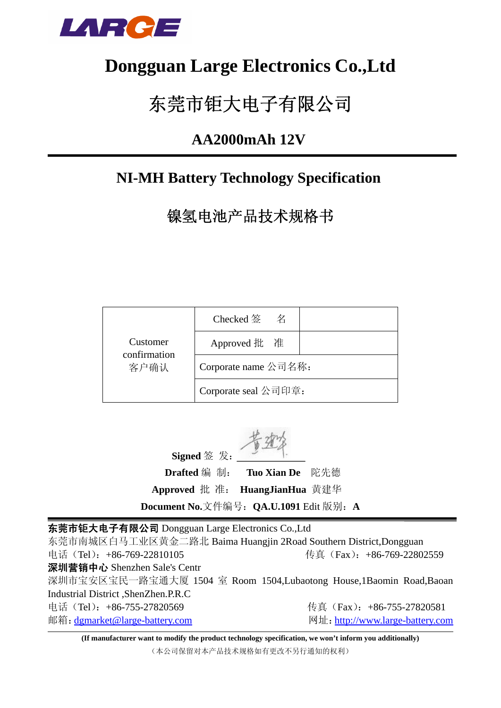

## **Dongguan Large Electronics Co.,Ltd**

# 东莞市钜大电子有限公司

### **AA2000mAh 12V**

### **NI-MH Battery Technology Specification**

镍氢电池产品技术规格书

|                                  | Checked 签<br>名       |  |  |
|----------------------------------|----------------------|--|--|
| Customer<br>confirmation<br>客户确认 | Approved 批 准         |  |  |
|                                  | Corporate name 公司名称: |  |  |
|                                  | Corporate seal 公司印章: |  |  |

**Signed** 签 发:  **Drafted** 编 制: **Tuo Xian De** 陀先德 **Approved** 批 准: **HuangJianHua** 黄建华 **Document No.**文件编号:**QA.U.1091** Edit 版别:**A**

东莞市钜大电子有限公司 Dongguan Large Electronics Co.,Ltd 东莞市南城区白马工业区黄金二路北 Baima Huangjin 2Road Southern District,Dongguan 电话(Tel):+86-769-22810105 传真(Fax):+86-769-22802559 深圳营销中心 Shenzhen Sale's Centr 深圳市宝安区宝民一路宝通大厦 1504 室 Room 1504,Lubaotong House,1Baomin Road,Baoan Industrial District ,ShenZhen.P.R.C 电话(Tel): +86-755-27820569 传真(Fax): +86-755-27820581 邮箱: dgmarket@large-battery.com 网址: http://www.large-battery.com

**(If manufacturer want to modify the product technology specification, we won't inform you additionally)** (本公司保留对本产品技术规格如有更改不另行通知的权利)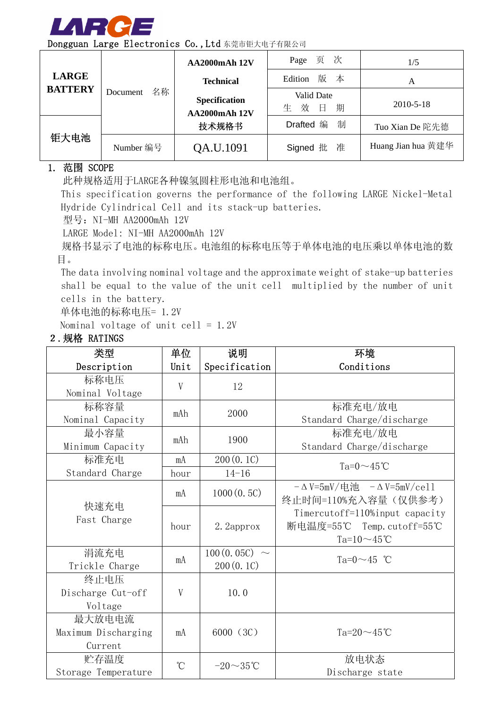

| Dongguan Large Electronics Co.,Ltd 东莞市钜大电子有限公司 |  |
|------------------------------------------------|--|
|------------------------------------------------|--|

| <b>LARGE</b><br><b>BATTERY</b><br>钜大电池 |                | AA2000mAh 12V                                         | Page 页 次                            | 1/5                |
|----------------------------------------|----------------|-------------------------------------------------------|-------------------------------------|--------------------|
|                                        |                | <b>Technical</b>                                      | 版 本<br>Edition                      | A                  |
|                                        | 名称<br>Document | <b>Specification</b><br><b>AA2000mAh 12V</b><br>技术规格书 | Valid Date<br>生<br>效<br>$\Box$<br>期 | 2010-5-18          |
|                                        |                |                                                       | 制<br>Drafted 编                      | Tuo Xian De 陀先德    |
|                                        | Number 编号      | QA.U.1091                                             | Signed 批 准                          | Huang Jian hua 黄建华 |

#### 1. 范围 SCOPE

此种规格适用于LARGE各种镍氢圆柱形电池和电池组。

This specification governs the performance of the following LARGE Nickel-Metal Hydride Cylindrical Cell and its stack-up batteries.

型号: NI-MH AA2000mAh 12V

LARGE Model: NI-MH AA2000mAh 12V

规格书显示了电池的标称电压。电池组的标称电压等于单体电池的电压乘以单体电池的数 目。

The data involving nominal voltage and the approximate weight of stake-up batteries shall be equal to the value of the unit cell multiplied by the number of unit cells in the battery.

单体电池的标称电压= 1.2V

Nominal voltage of unit cell = 1.2V

| 类型                                       | 单位        | 说明                          | 环境                                                                                    |
|------------------------------------------|-----------|-----------------------------|---------------------------------------------------------------------------------------|
| Description                              | Unit      | Specification               | Conditions                                                                            |
| 标称电压<br>Nominal Voltage                  | V         | 12                          |                                                                                       |
| 标称容量<br>Nominal Capacity                 | mAh       | 2000                        | 标准充电/放电<br>Standard Charge/discharge                                                  |
| 最小容量<br>Minimum Capacity                 | mAh       | 1900                        | 标准充电/放电<br>Standard Charge/discharge                                                  |
| 标准充电                                     | mA        | 200(0.1C)                   | Ta= $0 \sim 45$ °C                                                                    |
| Standard Charge                          | hour      | $14 - 16$                   |                                                                                       |
|                                          | mA        | 1000(0.5C)                  | $-\Delta V = 5mV / \pm i\hbar$ $-\Delta V = 5mV / \text{cell}$<br>终止时间=110%充入容量(仅供参考) |
| 快速充电<br>Fast Charge                      | hour      | 2. 2approx                  | Timercutoff=110%input capacity<br>断电温度=55℃ Temp. cutoff=55℃<br>Ta= $10 \sim 45$ °C    |
| 涓流充电<br>Trickle Charge                   | mA        | $100(0.05C)$ ~<br>200(0.1C) | Ta= $0 \sim 45$ °C                                                                    |
| 终止电压<br>Discharge Cut-off<br>Voltage     | V         | 10.0                        |                                                                                       |
| 最大放电电流<br>Maximum Discharging<br>Current | mA        | 6000 (3C)                   | Ta= $20 \sim 45$ °C                                                                   |
| 贮存温度<br>Storage Temperature              | $\hat{C}$ | $-20\sim 35$ °C             | 放电状态<br>Discharge state                                                               |

#### 2.规格 RATINGS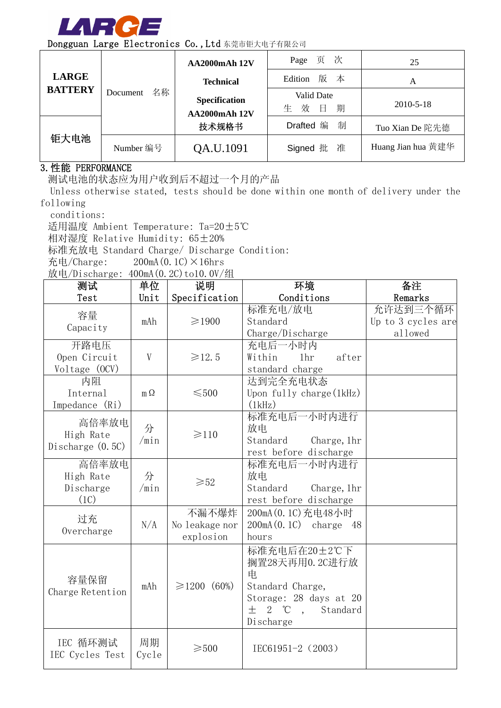

|                                        |                | <b>AA2000mAh 12V</b>                  | Page 页 次                           | 25                 |
|----------------------------------------|----------------|---------------------------------------|------------------------------------|--------------------|
| <b>LARGE</b><br><b>BATTERY</b><br>钜大电池 |                | <b>Technical</b>                      | Edition 版 本                        | Α                  |
|                                        | 名称<br>Document | Specification<br><b>AA2000mAh 12V</b> | Valid Date<br>一 效 一<br>期<br>生<br>日 | 2010-5-18          |
|                                        |                | 技术规格书                                 | 制<br>Drafted 编                     | Tuo Xian De 陀先德    |
|                                        | Number 编号      | QA.U.1091                             | Signed 批 准                         | Huang Jian hua 黄建华 |

#### 3.性能 PERFORMANCE

测试电池的状态应为用户收到后不超过一个月的产品

Unless otherwise stated, tests should be done within one month of delivery under the following

conditions:

适用温度 Ambient Temperature: Ta=20±5℃

相对湿度 Relative Humidity: 65±20%

标准充放电 Standard Charge/ Discharge Condition:

充电/Charge:  $200mA(0.1C) \times 16hrs$ 

放电/Discharge: 400mA (0.2C)to10.0V/组

| 测试                 | 单位        | 说明              | 环境                                 | 备注                 |
|--------------------|-----------|-----------------|------------------------------------|--------------------|
| Test               | Unit      | Specification   | Conditions                         | Remarks            |
| 容量                 |           |                 | 标准充电/放电                            | 允许达到三个循环           |
| Capacity           | mAh       | $\geq 1900$     | Standard                           | Up to 3 cycles are |
|                    |           |                 | charge/Discharge                   | allowed            |
| 开路电压               |           |                 | 充电后一小时内                            |                    |
| Open Circuit       | V         | $\geq 12.5$     | Within<br>1 <sub>hr</sub><br>after |                    |
| Voltage (OCV)      |           |                 | standard charge                    |                    |
| 内阻                 |           |                 | 达到完全充电状态                           |                    |
| Internal           | $m\Omega$ | $\leq 500$      | Upon fully charge $(1kHz)$         |                    |
| Impedance (Ri)     |           |                 | (1kHz)                             |                    |
| 高倍率放电              |           |                 | 标准充电后一小时内进行                        |                    |
| High Rate          | 分         | $\geq 110$      | 放电                                 |                    |
| Discharge $(0.5C)$ | /min      |                 | Standard<br>Charge, 1hr            |                    |
|                    |           |                 | rest before discharge              |                    |
| 高倍率放电              |           |                 | 标准充电后一小时内进行                        |                    |
| High Rate          | 分         | $\geqslant52$   | 放电                                 |                    |
| Discharge          | /min      |                 | Standard<br>Charge, 1hr            |                    |
| (1C)               |           |                 | rest before discharge              |                    |
| 过充                 |           | 不漏不爆炸           | 200mA (0.1C) 充电48小时                |                    |
| Overcharge         | N/A       | No leakage nor  | $200mA(0.1C)$ charge 48            |                    |
|                    |           | explosion       | hours                              |                    |
|                    |           |                 | 标准充电后在20±2℃下                       |                    |
|                    |           |                 | 搁置28天再用0.2C进行放                     |                    |
|                    |           |                 | 电                                  |                    |
| 容量保留               | mAh       | ≥1200 (60%)     | Standard Charge,                   |                    |
| Charge Retention   |           |                 | Storage: 28 days at 20             |                    |
|                    |           |                 | 士<br>$2^{\circ}C$ ,<br>Standard    |                    |
|                    |           |                 | Discharge                          |                    |
|                    |           |                 |                                    |                    |
| IEC 循环测试           | 周期        | $\geqslant$ 500 | IEC61951-2 (2003)                  |                    |
| IEC Cycles Test    | Cycle     |                 |                                    |                    |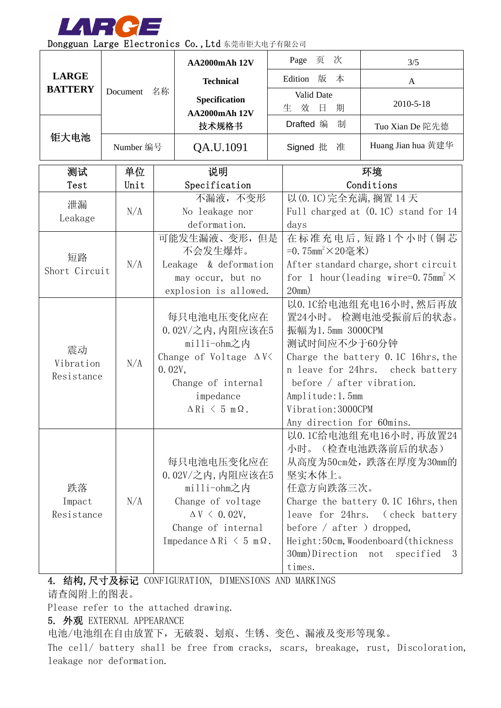

| <b>LARGE</b><br>Edition 版<br>本<br><b>Technical</b><br>$\mathbf{A}$<br><b>BATTERY</b><br>Document<br>名称<br>Valid Date<br>Specification<br>2010-5-18<br>效<br>日<br>生<br>期<br><b>AA2000mAh 12V</b><br>Drafted 编<br>制<br>技术规格书<br>Tuo Xian De 陀先德<br>钜大电池<br>Huang Jian hua 黄建华<br>Number 编号<br>QA.U.1091<br>Signed 批<br>准<br>测试<br>单位<br>环境<br>说明<br>Conditions<br>Test<br>Unit<br>Specification<br>以 (0.1C)完全充满, 搁置 14 天<br>不漏液, 不变形<br>泄漏<br>N/A<br>No leakage nor<br>Full charged at (0.1C) stand for 14<br>Leakage<br>deformation.<br>days<br>可能发生漏液、变形,但是<br>在标准充电后,短路1个小时(铜芯<br>不会发生爆炸。<br>=0.75mm <sup>2</sup> ×20毫米)<br>短路<br>N/A<br>Leakage & deformation<br>After standard charge, short circuit<br>Short Circuit<br>for 1 hour (leading wire=0.75mm <sup>2</sup> $\times$<br>may occur, but no<br>explosion is allowed.<br>20mm)<br>以0.1C给电池组充电16小时,然后再放<br>置24小时。 检测电池受振前后的状态。<br>每只电池电压变化应在<br>0.02V/之内, 内阻应该在5<br>振幅为1.5mm 3000CPM<br>milli-ohm之内<br>测试时间应不少于60分钟<br>震动<br>Change of Voltage $\Delta V$<br>Charge the battery 0.1C 16hrs, the<br>N/A<br>Vibration<br>0.02V,<br>n leave for 24hrs. check battery<br>Resistance<br>before $/$ after vibration.<br>Change of internal<br>Amplitude: 1.5mm<br>impedance<br>Vibration: 3000CPM<br>$\Delta$ Ri $\leq$ 5 m $\Omega$ .<br>Any direction for 60mins.<br>以0.1C给电池组充电16小时,再放置24<br>(检查电池跌落前后的状态)<br>小时。<br>每只电池电压变化应在<br>从高度为50cm处,跌落在厚度为30mm的<br>0.02V/之内, 内阻应该在5<br>坚实木体上。<br>跌落<br>milli-ohm之内<br>任意方向跌落三次。<br>N/A<br>Change of voltage<br>Charge the battery 0.1C 16hrs, then<br>Impact<br>Resistance<br>$\Delta V$ < 0.02V,<br>leave for 24hrs. (check battery<br>before $/$ after $)$ dropped,<br>Change of internal<br>Impedance $\Delta$ Ri $\leq$ 5 m $\Omega$ .<br>Height: 50cm, Woodenboard (thickness<br>30mm)Direction not<br>specified<br>- 3 |  |  |  | <b>AA2000mAh 12V</b> |  | Page<br>页<br>次 | 3/5 |  |
|----------------------------------------------------------------------------------------------------------------------------------------------------------------------------------------------------------------------------------------------------------------------------------------------------------------------------------------------------------------------------------------------------------------------------------------------------------------------------------------------------------------------------------------------------------------------------------------------------------------------------------------------------------------------------------------------------------------------------------------------------------------------------------------------------------------------------------------------------------------------------------------------------------------------------------------------------------------------------------------------------------------------------------------------------------------------------------------------------------------------------------------------------------------------------------------------------------------------------------------------------------------------------------------------------------------------------------------------------------------------------------------------------------------------------------------------------------------------------------------------------------------------------------------------------------------------------------------------------------------------------------------------------------------------------------------------------------------------------------------------------------------------------------------------------------------------------|--|--|--|----------------------|--|----------------|-----|--|
|                                                                                                                                                                                                                                                                                                                                                                                                                                                                                                                                                                                                                                                                                                                                                                                                                                                                                                                                                                                                                                                                                                                                                                                                                                                                                                                                                                                                                                                                                                                                                                                                                                                                                                                                                                                                                            |  |  |  |                      |  |                |     |  |
|                                                                                                                                                                                                                                                                                                                                                                                                                                                                                                                                                                                                                                                                                                                                                                                                                                                                                                                                                                                                                                                                                                                                                                                                                                                                                                                                                                                                                                                                                                                                                                                                                                                                                                                                                                                                                            |  |  |  |                      |  |                |     |  |
|                                                                                                                                                                                                                                                                                                                                                                                                                                                                                                                                                                                                                                                                                                                                                                                                                                                                                                                                                                                                                                                                                                                                                                                                                                                                                                                                                                                                                                                                                                                                                                                                                                                                                                                                                                                                                            |  |  |  |                      |  |                |     |  |
|                                                                                                                                                                                                                                                                                                                                                                                                                                                                                                                                                                                                                                                                                                                                                                                                                                                                                                                                                                                                                                                                                                                                                                                                                                                                                                                                                                                                                                                                                                                                                                                                                                                                                                                                                                                                                            |  |  |  |                      |  |                |     |  |
|                                                                                                                                                                                                                                                                                                                                                                                                                                                                                                                                                                                                                                                                                                                                                                                                                                                                                                                                                                                                                                                                                                                                                                                                                                                                                                                                                                                                                                                                                                                                                                                                                                                                                                                                                                                                                            |  |  |  |                      |  |                |     |  |
|                                                                                                                                                                                                                                                                                                                                                                                                                                                                                                                                                                                                                                                                                                                                                                                                                                                                                                                                                                                                                                                                                                                                                                                                                                                                                                                                                                                                                                                                                                                                                                                                                                                                                                                                                                                                                            |  |  |  |                      |  |                |     |  |
|                                                                                                                                                                                                                                                                                                                                                                                                                                                                                                                                                                                                                                                                                                                                                                                                                                                                                                                                                                                                                                                                                                                                                                                                                                                                                                                                                                                                                                                                                                                                                                                                                                                                                                                                                                                                                            |  |  |  |                      |  |                |     |  |
|                                                                                                                                                                                                                                                                                                                                                                                                                                                                                                                                                                                                                                                                                                                                                                                                                                                                                                                                                                                                                                                                                                                                                                                                                                                                                                                                                                                                                                                                                                                                                                                                                                                                                                                                                                                                                            |  |  |  |                      |  |                |     |  |
|                                                                                                                                                                                                                                                                                                                                                                                                                                                                                                                                                                                                                                                                                                                                                                                                                                                                                                                                                                                                                                                                                                                                                                                                                                                                                                                                                                                                                                                                                                                                                                                                                                                                                                                                                                                                                            |  |  |  |                      |  |                |     |  |
|                                                                                                                                                                                                                                                                                                                                                                                                                                                                                                                                                                                                                                                                                                                                                                                                                                                                                                                                                                                                                                                                                                                                                                                                                                                                                                                                                                                                                                                                                                                                                                                                                                                                                                                                                                                                                            |  |  |  |                      |  |                |     |  |
|                                                                                                                                                                                                                                                                                                                                                                                                                                                                                                                                                                                                                                                                                                                                                                                                                                                                                                                                                                                                                                                                                                                                                                                                                                                                                                                                                                                                                                                                                                                                                                                                                                                                                                                                                                                                                            |  |  |  |                      |  |                |     |  |
|                                                                                                                                                                                                                                                                                                                                                                                                                                                                                                                                                                                                                                                                                                                                                                                                                                                                                                                                                                                                                                                                                                                                                                                                                                                                                                                                                                                                                                                                                                                                                                                                                                                                                                                                                                                                                            |  |  |  |                      |  |                |     |  |
|                                                                                                                                                                                                                                                                                                                                                                                                                                                                                                                                                                                                                                                                                                                                                                                                                                                                                                                                                                                                                                                                                                                                                                                                                                                                                                                                                                                                                                                                                                                                                                                                                                                                                                                                                                                                                            |  |  |  |                      |  |                |     |  |
|                                                                                                                                                                                                                                                                                                                                                                                                                                                                                                                                                                                                                                                                                                                                                                                                                                                                                                                                                                                                                                                                                                                                                                                                                                                                                                                                                                                                                                                                                                                                                                                                                                                                                                                                                                                                                            |  |  |  |                      |  |                |     |  |
|                                                                                                                                                                                                                                                                                                                                                                                                                                                                                                                                                                                                                                                                                                                                                                                                                                                                                                                                                                                                                                                                                                                                                                                                                                                                                                                                                                                                                                                                                                                                                                                                                                                                                                                                                                                                                            |  |  |  |                      |  |                |     |  |
|                                                                                                                                                                                                                                                                                                                                                                                                                                                                                                                                                                                                                                                                                                                                                                                                                                                                                                                                                                                                                                                                                                                                                                                                                                                                                                                                                                                                                                                                                                                                                                                                                                                                                                                                                                                                                            |  |  |  |                      |  |                |     |  |
|                                                                                                                                                                                                                                                                                                                                                                                                                                                                                                                                                                                                                                                                                                                                                                                                                                                                                                                                                                                                                                                                                                                                                                                                                                                                                                                                                                                                                                                                                                                                                                                                                                                                                                                                                                                                                            |  |  |  |                      |  |                |     |  |
|                                                                                                                                                                                                                                                                                                                                                                                                                                                                                                                                                                                                                                                                                                                                                                                                                                                                                                                                                                                                                                                                                                                                                                                                                                                                                                                                                                                                                                                                                                                                                                                                                                                                                                                                                                                                                            |  |  |  |                      |  |                |     |  |
|                                                                                                                                                                                                                                                                                                                                                                                                                                                                                                                                                                                                                                                                                                                                                                                                                                                                                                                                                                                                                                                                                                                                                                                                                                                                                                                                                                                                                                                                                                                                                                                                                                                                                                                                                                                                                            |  |  |  |                      |  |                |     |  |
|                                                                                                                                                                                                                                                                                                                                                                                                                                                                                                                                                                                                                                                                                                                                                                                                                                                                                                                                                                                                                                                                                                                                                                                                                                                                                                                                                                                                                                                                                                                                                                                                                                                                                                                                                                                                                            |  |  |  |                      |  |                |     |  |
|                                                                                                                                                                                                                                                                                                                                                                                                                                                                                                                                                                                                                                                                                                                                                                                                                                                                                                                                                                                                                                                                                                                                                                                                                                                                                                                                                                                                                                                                                                                                                                                                                                                                                                                                                                                                                            |  |  |  |                      |  |                |     |  |
|                                                                                                                                                                                                                                                                                                                                                                                                                                                                                                                                                                                                                                                                                                                                                                                                                                                                                                                                                                                                                                                                                                                                                                                                                                                                                                                                                                                                                                                                                                                                                                                                                                                                                                                                                                                                                            |  |  |  |                      |  |                |     |  |
|                                                                                                                                                                                                                                                                                                                                                                                                                                                                                                                                                                                                                                                                                                                                                                                                                                                                                                                                                                                                                                                                                                                                                                                                                                                                                                                                                                                                                                                                                                                                                                                                                                                                                                                                                                                                                            |  |  |  |                      |  |                |     |  |
|                                                                                                                                                                                                                                                                                                                                                                                                                                                                                                                                                                                                                                                                                                                                                                                                                                                                                                                                                                                                                                                                                                                                                                                                                                                                                                                                                                                                                                                                                                                                                                                                                                                                                                                                                                                                                            |  |  |  |                      |  |                |     |  |
|                                                                                                                                                                                                                                                                                                                                                                                                                                                                                                                                                                                                                                                                                                                                                                                                                                                                                                                                                                                                                                                                                                                                                                                                                                                                                                                                                                                                                                                                                                                                                                                                                                                                                                                                                                                                                            |  |  |  |                      |  |                |     |  |
|                                                                                                                                                                                                                                                                                                                                                                                                                                                                                                                                                                                                                                                                                                                                                                                                                                                                                                                                                                                                                                                                                                                                                                                                                                                                                                                                                                                                                                                                                                                                                                                                                                                                                                                                                                                                                            |  |  |  |                      |  |                |     |  |
|                                                                                                                                                                                                                                                                                                                                                                                                                                                                                                                                                                                                                                                                                                                                                                                                                                                                                                                                                                                                                                                                                                                                                                                                                                                                                                                                                                                                                                                                                                                                                                                                                                                                                                                                                                                                                            |  |  |  |                      |  |                |     |  |
|                                                                                                                                                                                                                                                                                                                                                                                                                                                                                                                                                                                                                                                                                                                                                                                                                                                                                                                                                                                                                                                                                                                                                                                                                                                                                                                                                                                                                                                                                                                                                                                                                                                                                                                                                                                                                            |  |  |  |                      |  |                |     |  |
|                                                                                                                                                                                                                                                                                                                                                                                                                                                                                                                                                                                                                                                                                                                                                                                                                                                                                                                                                                                                                                                                                                                                                                                                                                                                                                                                                                                                                                                                                                                                                                                                                                                                                                                                                                                                                            |  |  |  |                      |  |                |     |  |
|                                                                                                                                                                                                                                                                                                                                                                                                                                                                                                                                                                                                                                                                                                                                                                                                                                                                                                                                                                                                                                                                                                                                                                                                                                                                                                                                                                                                                                                                                                                                                                                                                                                                                                                                                                                                                            |  |  |  |                      |  |                |     |  |
|                                                                                                                                                                                                                                                                                                                                                                                                                                                                                                                                                                                                                                                                                                                                                                                                                                                                                                                                                                                                                                                                                                                                                                                                                                                                                                                                                                                                                                                                                                                                                                                                                                                                                                                                                                                                                            |  |  |  |                      |  |                |     |  |
|                                                                                                                                                                                                                                                                                                                                                                                                                                                                                                                                                                                                                                                                                                                                                                                                                                                                                                                                                                                                                                                                                                                                                                                                                                                                                                                                                                                                                                                                                                                                                                                                                                                                                                                                                                                                                            |  |  |  |                      |  | times.         |     |  |

4. 结构,尺寸及标记 CONFIGURATION, DIMENSIONS AND MARKINGS 请查阅附上的图表。

Please refer to the attached drawing.

5. 外观 EXTERNAL APPEARANCE

电池/电池组在自由放置下,无破裂、划痕、生锈、变色、漏液及变形等现象。

The cell/ battery shall be free from cracks, scars, breakage, rust, Discoloration, leakage nor deformation.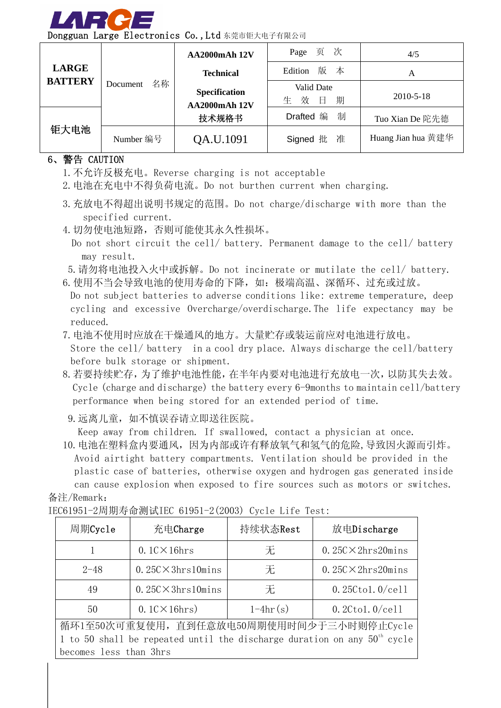

| <b>LARGE</b><br><b>BATTERY</b> |                | <b>AA2000mAh 12V</b>                         | Page 页 次                   | 4/5                |
|--------------------------------|----------------|----------------------------------------------|----------------------------|--------------------|
|                                |                | <b>Technical</b>                             | Edition 版 本                | A                  |
|                                | 名称<br>Document | <b>Specification</b><br><b>AA2000mAh 12V</b> | Valid Date<br>效日<br>生<br>期 | 2010-5-18          |
|                                |                | 技术规格书                                        | 制<br>Drafted 编             | Tuo Xian De 陀先德    |
| 钜大电池                           | Number 编号      | QA.U.1091                                    | Signed 批 准                 | Huang Jian hua 黄建华 |

#### 6、警告 CAUTION

- 1.不允许反极充电。Reverse charging is not acceptable
- 2.电池在充电中不得负荷电流。Do not burthen current when charging.
- 3.充放电不得超出说明书规定的范围。Do not charge/discharge with more than the specified current.
- 4.切勿使电池短路,否则可能使其永久性损坏。
	- Do not short circuit the cell/ battery. Permanent damage to the cell/ battery may result.
- 5.请勿将电池投入火中或拆解。Do not incinerate or mutilate the cell/ battery.
- 6. 使用不当会导致电池的使用寿命的下降, 如: 极端高温、深循环、过充或过放。

Do not subject batteries to adverse conditions like: extreme temperature, deep cycling and excessive Overcharge/overdischarge.The life expectancy may be reduced.

7.电池不使用时应放在干燥通风的地方。大量贮存或装运前应对电池进行放电。

Store the cell/ battery in a cool dry place. Always discharge the cell/battery before bulk storage or shipment.

- 8.若要持续贮存,为了维护电池性能,在半年内要对电池进行充放电一次,以防其失去效。 Cycle (charge and discharge) the battery every 6-9months to maintain cell/battery performance when being stored for an extended period of time.
	- 9. 远离儿童, 如不慎误吞请立即送往医院。

Keep away from children. If swallowed, contact a physician at once.

10.电池在塑料盒内要通风,因为内部或许有释放氧气和氢气的危险,导致因火源而引炸。 Avoid airtight battery compartments. Ventilation should be provided in the plastic case of batteries, otherwise oxygen and hydrogen gas generated inside can cause explosion when exposed to fire sources such as motors or switches.

备注/Remark:

| 周期Cycle                                                                    | 充电Charge                   | 持续状态Rest   | 放电Discharge                |  |  |  |
|----------------------------------------------------------------------------|----------------------------|------------|----------------------------|--|--|--|
|                                                                            | $0.1$ C $\times$ 16hrs     | 无          | $0.25C \times 2hrs20 mins$ |  |  |  |
| $2 - 48$                                                                   | $0.25C \times 3hrs10 mins$ | 无          | $0.25C \times 2hrs20 mins$ |  |  |  |
| 49                                                                         | $0.25C \times 3hrs10 mins$ | 无          | $0.25C$ tol. $0$ /cell     |  |  |  |
| 50                                                                         | $0.1$ C $\times$ 16hrs)    | $1-4hr(s)$ | $0.2C$ tol. $0$ /cell      |  |  |  |
| 循环1至50次可重复使用, 直到任意放电50周期使用时间少于三小时则停止Cycle                                  |                            |            |                            |  |  |  |
| 1 to 50 shall be repeated until the discharge duration on any $50th$ cycle |                            |            |                            |  |  |  |
| becomes less than 3hrs                                                     |                            |            |                            |  |  |  |

IEC61951-2周期寿命测试IEC 61951-2(2003) Cycle Life Test: